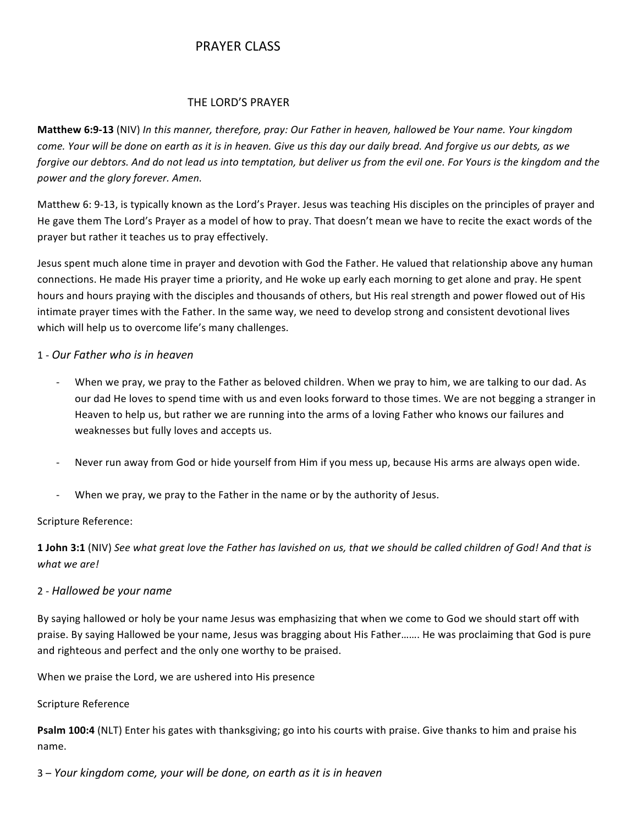# PRAYER CLASS

### THE LORD'S PRAYER

**Matthew 6:9-13** (NIV) In this manner, therefore, pray: Our Father in heaven, hallowed be Your name. Your kingdom *come. Your will be done on earth as it is in heaven. Give us this day our daily bread. And forgive us our debts, as we* forgive our debtors. And do not lead us into temptation, but deliver us from the evil one. For Yours is the kingdom and the power and the glory forever. Amen.

Matthew 6: 9-13, is typically known as the Lord's Prayer. Jesus was teaching His disciples on the principles of prayer and He gave them The Lord's Prayer as a model of how to pray. That doesn't mean we have to recite the exact words of the prayer but rather it teaches us to pray effectively.

Jesus spent much alone time in prayer and devotion with God the Father. He valued that relationship above any human connections. He made His prayer time a priority, and He woke up early each morning to get alone and pray. He spent hours and hours praying with the disciples and thousands of others, but His real strength and power flowed out of His intimate prayer times with the Father. In the same way, we need to develop strong and consistent devotional lives which will help us to overcome life's many challenges.

## 1 - *Our Father who is in heaven*

- When we pray, we pray to the Father as beloved children. When we pray to him, we are talking to our dad. As our dad He loves to spend time with us and even looks forward to those times. We are not begging a stranger in Heaven to help us, but rather we are running into the arms of a loving Father who knows our failures and weaknesses but fully loves and accepts us.
- Never run away from God or hide yourself from Him if you mess up, because His arms are always open wide.
- When we pray, we pray to the Father in the name or by the authority of Jesus.

#### Scripture Reference:

**1 John 3:1** (NIV) See what great love the Father has lavished on us, that we should be called children of God! And that is *what we are!*

#### 2 - *Hallowed be your name*

By saying hallowed or holy be your name Jesus was emphasizing that when we come to God we should start off with praise. By saying Hallowed be your name, Jesus was bragging about His Father……. He was proclaiming that God is pure and righteous and perfect and the only one worthy to be praised.

When we praise the Lord, we are ushered into His presence

#### Scripture Reference

**Psalm 100:4** (NLT) Enter his gates with thanksgiving; go into his courts with praise. Give thanks to him and praise his name.

3 – Your kingdom come, your will be done, on earth as it is in heaven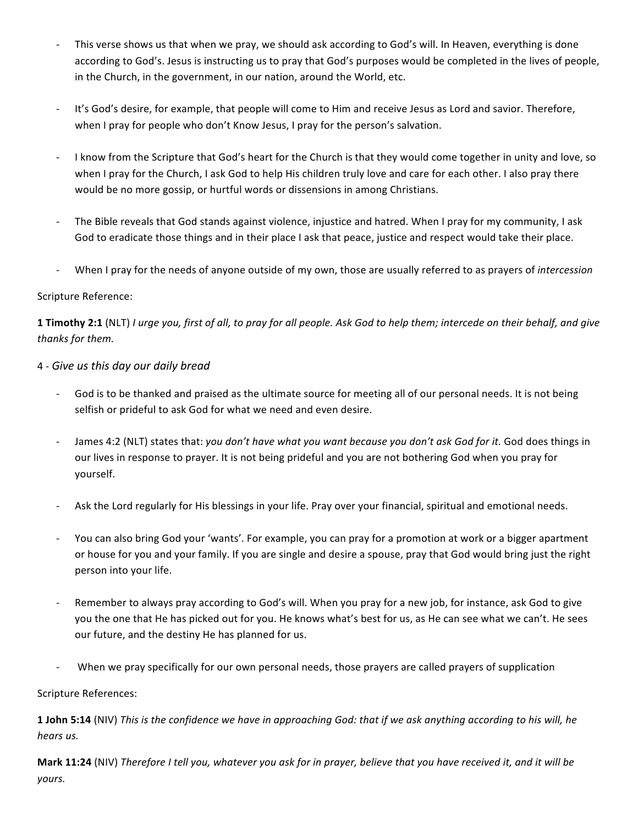- This verse shows us that when we pray, we should ask according to God's will. In Heaven, everything is done according to God's. Jesus is instructing us to pray that God's purposes would be completed in the lives of people, in the Church, in the government, in our nation, around the World, etc.
- It's God's desire, for example, that people will come to Him and receive Jesus as Lord and savior. Therefore, when I pray for people who don't Know Jesus, I pray for the person's salvation.
- I know from the Scripture that God's heart for the Church is that they would come together in unity and love, so when I pray for the Church, I ask God to help His children truly love and care for each other. I also pray there would be no more gossip, or hurtful words or dissensions in among Christians.
- The Bible reveals that God stands against violence, injustice and hatred. When I pray for my community, I ask God to eradicate those things and in their place I ask that peace, justice and respect would take their place.
- When I pray for the needs of anyone outside of my own, those are usually referred to as prayers of *intercession*

## Scripture Reference:

**1 Timothy 2:1** (NLT) *I* urge you, first of all, to pray for all people. Ask God to help them; intercede on their behalf, and give *thanks for them.*

## 4 - *Give us this day our daily bread*

- God is to be thanked and praised as the ultimate source for meeting all of our personal needs. It is not being selfish or prideful to ask God for what we need and even desire.
- James 4:2 (NLT) states that: you don't have what you want because you don't ask God for it. God does things in our lives in response to prayer. It is not being prideful and you are not bothering God when you pray for yourself.
- Ask the Lord regularly for His blessings in your life. Pray over your financial, spiritual and emotional needs.
- You can also bring God your 'wants'. For example, you can pray for a promotion at work or a bigger apartment or house for you and your family. If you are single and desire a spouse, pray that God would bring just the right person into your life.
- Remember to always pray according to God's will. When you pray for a new job, for instance, ask God to give you the one that He has picked out for you. He knows what's best for us, as He can see what we can't. He sees our future, and the destiny He has planned for us.
- When we pray specifically for our own personal needs, those prayers are called prayers of supplication

Scripture References:

**1 John 5:14** (NIV) *This* is the confidence we have in approaching God: that if we ask anything according to his will, he *hears us.*

**Mark 11:24** (NIV) *Therefore I tell you, whatever you ask for in prayer, believe that you have received it, and it will be yours.*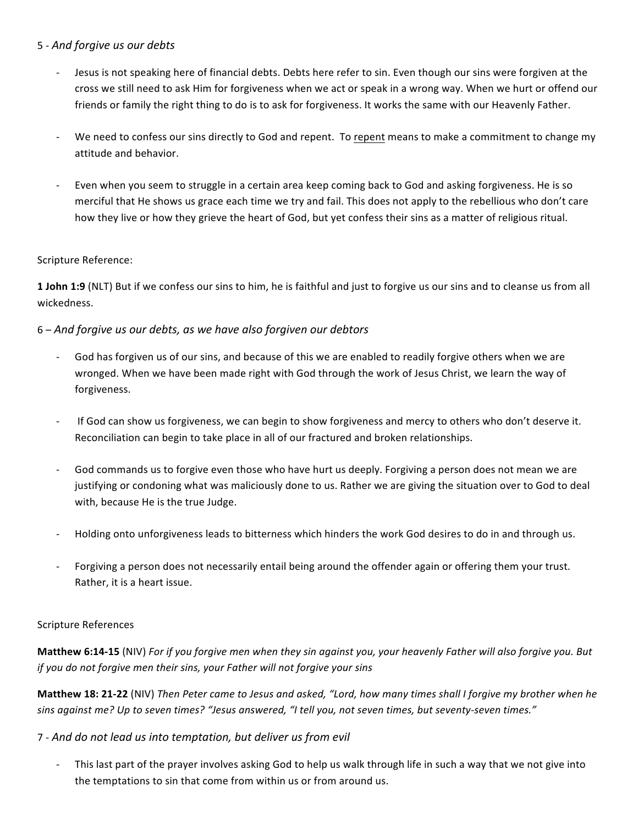## 5 - *And forgive us our debts*

- Jesus is not speaking here of financial debts. Debts here refer to sin. Even though our sins were forgiven at the cross we still need to ask Him for forgiveness when we act or speak in a wrong way. When we hurt or offend our friends or family the right thing to do is to ask for forgiveness. It works the same with our Heavenly Father.
- We need to confess our sins directly to God and repent. To repent means to make a commitment to change my attitude and behavior.
- Even when you seem to struggle in a certain area keep coming back to God and asking forgiveness. He is so merciful that He shows us grace each time we try and fail. This does not apply to the rebellious who don't care how they live or how they grieve the heart of God, but yet confess their sins as a matter of religious ritual.

### Scripture Reference:

**1 John 1:9** (NLT) But if we confess our sins to him, he is faithful and just to forgive us our sins and to cleanse us from all wickedness.

## 6 – And forgive us our debts, as we have also forgiven our debtors

- God has forgiven us of our sins, and because of this we are enabled to readily forgive others when we are wronged. When we have been made right with God through the work of Jesus Christ, we learn the way of forgiveness.
- If God can show us forgiveness, we can begin to show forgiveness and mercy to others who don't deserve it. Reconciliation can begin to take place in all of our fractured and broken relationships.
- God commands us to forgive even those who have hurt us deeply. Forgiving a person does not mean we are justifying or condoning what was maliciously done to us. Rather we are giving the situation over to God to deal with, because He is the true Judge.
- Holding onto unforgiveness leads to bitterness which hinders the work God desires to do in and through us.
- Forgiving a person does not necessarily entail being around the offender again or offering them your trust. Rather, it is a heart issue.

## Scripture References

**Matthew 6:14-15** (NIV) For if you forgive men when they sin against you, your heavenly Father will also forgive you. But *if* you do not forgive men their sins, your Father will not forgive your sins

**Matthew 18: 21-22** (NIV) *Then Peter came to Jesus and asked, "Lord, how many times shall I forgive my brother when he* sins against me? Up to seven times? "Jesus answered, "I tell you, not seven times, but seventy-seven times."

## 7 - *And do not lead us into temptation, but deliver us from evil*

This last part of the prayer involves asking God to help us walk through life in such a way that we not give into the temptations to sin that come from within us or from around us.